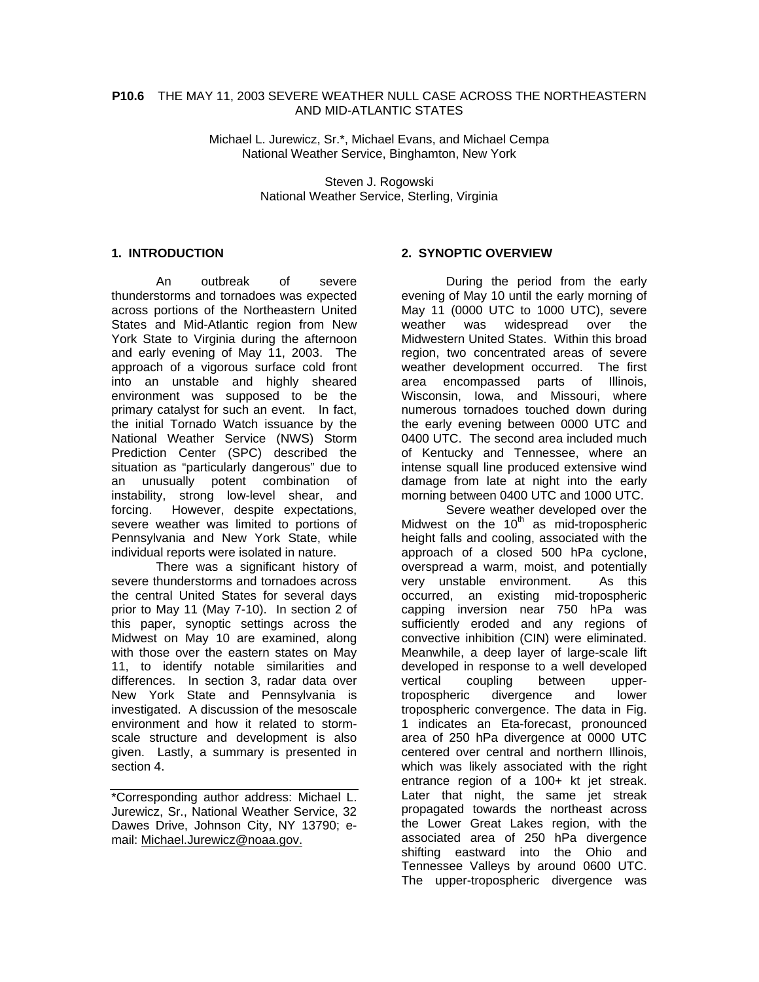#### **P10.6** THE MAY 11, 2003 SEVERE WEATHER NULL CASE ACROSS THE NORTHEASTERN AND MID-ATLANTIC STATES

Michael L. Jurewicz, Sr.\*, Michael Evans, and Michael Cempa National Weather Service, Binghamton, New York

> Steven J. Rogowski National Weather Service, Sterling, Virginia

#### **1. INTRODUCTION**

An outbreak of severe thunderstorms and tornadoes was expected across portions of the Northeastern United States and Mid-Atlantic region from New York State to Virginia during the afternoon and early evening of May 11, 2003. The approach of a vigorous surface cold front into an unstable and highly sheared environment was supposed to be the primary catalyst for such an event. In fact, the initial Tornado Watch issuance by the National Weather Service (NWS) Storm Prediction Center (SPC) described the situation as "particularly dangerous" due to an unusually potent combination of instability, strong low-level shear, and forcing. However, despite expectations, severe weather was limited to portions of Pennsylvania and New York State, while individual reports were isolated in nature.

 There was a significant history of severe thunderstorms and tornadoes across the central United States for several days prior to May 11 (May 7-10). In section 2 of this paper, synoptic settings across the Midwest on May 10 are examined, along with those over the eastern states on May 11, to identify notable similarities and differences. In section 3, radar data over New York State and Pennsylvania is investigated. A discussion of the mesoscale environment and how it related to stormscale structure and development is also given. Lastly, a summary is presented in section 4.

### **2. SYNOPTIC OVERVIEW**

 During the period from the early evening of May 10 until the early morning of May 11 (0000 UTC to 1000 UTC), severe weather was widespread over the Midwestern United States. Within this broad region, two concentrated areas of severe weather development occurred. The first area encompassed parts of Illinois, Wisconsin, Iowa, and Missouri, where numerous tornadoes touched down during the early evening between 0000 UTC and 0400 UTC. The second area included much of Kentucky and Tennessee, where an intense squall line produced extensive wind damage from late at night into the early morning between 0400 UTC and 1000 UTC.

 Severe weather developed over the Midwest on the  $10^{th}$  as mid-tropospheric height falls and cooling, associated with the approach of a closed 500 hPa cyclone, overspread a warm, moist, and potentially very unstable environment. As this occurred, an existing mid-tropospheric capping inversion near 750 hPa was sufficiently eroded and any regions of convective inhibition (CIN) were eliminated. Meanwhile, a deep layer of large-scale lift developed in response to a well developed vertical coupling between uppertropospheric divergence and lower tropospheric convergence. The data in Fig. 1 indicates an Eta-forecast, pronounced area of 250 hPa divergence at 0000 UTC centered over central and northern Illinois, which was likely associated with the right entrance region of a 100+ kt jet streak. Later that night, the same jet streak propagated towards the northeast across the Lower Great Lakes region, with the associated area of 250 hPa divergence shifting eastward into the Ohio and Tennessee Valleys by around 0600 UTC. The upper-tropospheric divergence was

<sup>\*</sup>Corresponding author address: Michael L. Jurewicz, Sr., National Weather Service, 32 Dawes Drive, Johnson City, NY 13790; email: Michael.Jurewicz@noaa.gov.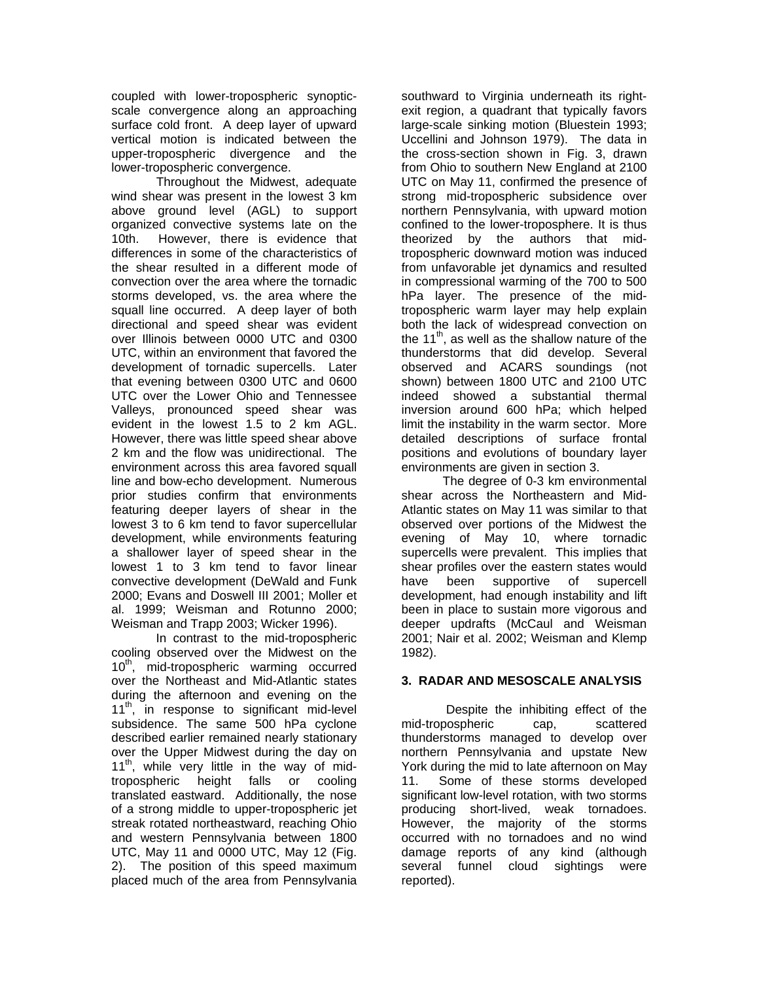coupled with lower-tropospheric synopticscale convergence along an approaching surface cold front. A deep layer of upward vertical motion is indicated between the upper-tropospheric divergence and the lower-tropospheric convergence.

 Throughout the Midwest, adequate wind shear was present in the lowest 3 km above ground level (AGL) to support organized convective systems late on the 10th. However, there is evidence that differences in some of the characteristics of the shear resulted in a different mode of convection over the area where the tornadic storms developed, vs. the area where the squall line occurred. A deep layer of both directional and speed shear was evident over Illinois between 0000 UTC and 0300 UTC, within an environment that favored the development of tornadic supercells. Later that evening between 0300 UTC and 0600 UTC over the Lower Ohio and Tennessee Valleys, pronounced speed shear was evident in the lowest 1.5 to 2 km AGL. However, there was little speed shear above 2 km and the flow was unidirectional. The environment across this area favored squall line and bow-echo development. Numerous prior studies confirm that environments featuring deeper layers of shear in the lowest 3 to 6 km tend to favor supercellular development, while environments featuring a shallower layer of speed shear in the lowest 1 to 3 km tend to favor linear convective development (DeWald and Funk 2000; Evans and Doswell III 2001; Moller et al. 1999; Weisman and Rotunno 2000; Weisman and Trapp 2003; Wicker 1996).

 In contrast to the mid-tropospheric cooling observed over the Midwest on the 10<sup>th</sup>, mid-tropospheric warming occurred over the Northeast and Mid-Atlantic states during the afternoon and evening on the 11<sup>th</sup>, in response to significant mid-level subsidence. The same 500 hPa cyclone described earlier remained nearly stationary over the Upper Midwest during the day on 11<sup>th</sup>, while very little in the way of midtropospheric height falls or cooling translated eastward. Additionally, the nose of a strong middle to upper-tropospheric jet streak rotated northeastward, reaching Ohio and western Pennsylvania between 1800 UTC, May 11 and 0000 UTC, May 12 (Fig. 2). The position of this speed maximum placed much of the area from Pennsylvania

southward to Virginia underneath its rightexit region, a quadrant that typically favors large-scale sinking motion (Bluestein 1993; Uccellini and Johnson 1979). The data in the cross-section shown in Fig. 3, drawn from Ohio to southern New England at 2100 UTC on May 11, confirmed the presence of strong mid-tropospheric subsidence over northern Pennsylvania, with upward motion confined to the lower-troposphere. It is thus theorized by the authors that midtropospheric downward motion was induced from unfavorable jet dynamics and resulted in compressional warming of the 700 to 500 hPa layer. The presence of the midtropospheric warm layer may help explain both the lack of widespread convection on the  $11<sup>th</sup>$ , as well as the shallow nature of the thunderstorms that did develop. Several observed and ACARS soundings (not shown) between 1800 UTC and 2100 UTC indeed showed a substantial thermal inversion around 600 hPa; which helped limit the instability in the warm sector. More detailed descriptions of surface frontal positions and evolutions of boundary layer environments are given in section 3.

 The degree of 0-3 km environmental shear across the Northeastern and Mid-Atlantic states on May 11 was similar to that observed over portions of the Midwest the evening of May 10, where tornadic supercells were prevalent. This implies that shear profiles over the eastern states would have been supportive of supercell development, had enough instability and lift been in place to sustain more vigorous and deeper updrafts (McCaul and Weisman 2001; Nair et al. 2002; Weisman and Klemp 1982).

# **3. RADAR AND MESOSCALE ANALYSIS**

 Despite the inhibiting effect of the mid-tropospheric cap, scattered thunderstorms managed to develop over northern Pennsylvania and upstate New York during the mid to late afternoon on May 11. Some of these storms developed significant low-level rotation, with two storms producing short-lived, weak tornadoes. However, the majority of the storms occurred with no tornadoes and no wind damage reports of any kind (although several funnel cloud sightings were reported).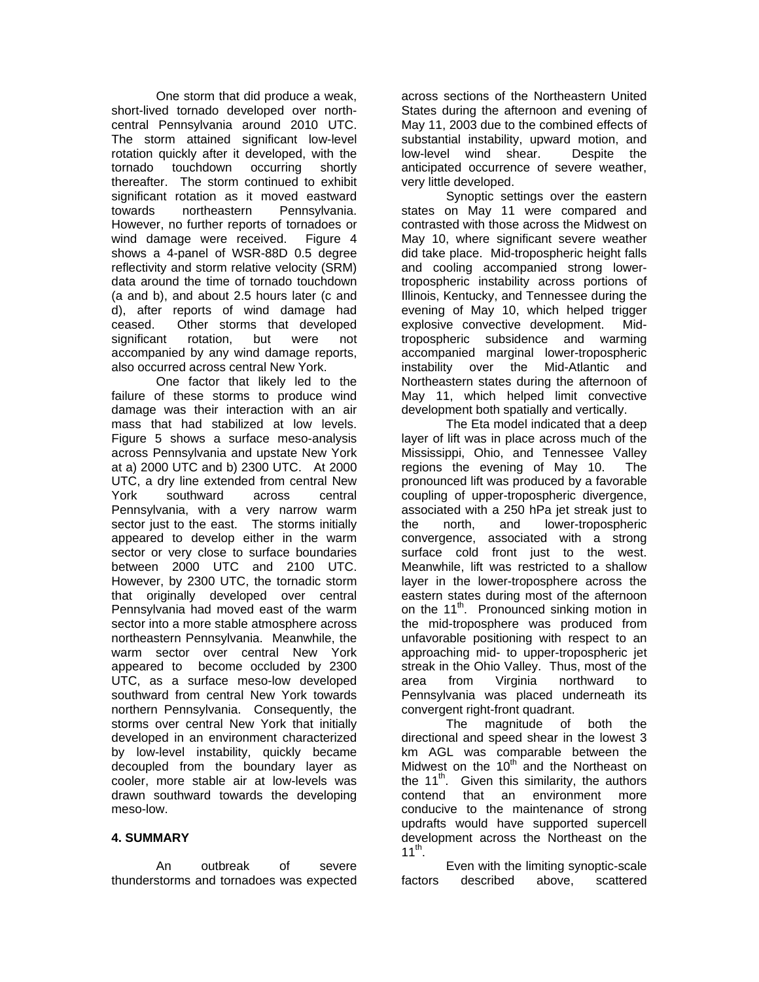One storm that did produce a weak, short-lived tornado developed over northcentral Pennsylvania around 2010 UTC. The storm attained significant low-level rotation quickly after it developed, with the tornado touchdown occurring shortly thereafter. The storm continued to exhibit significant rotation as it moved eastward towards northeastern Pennsylvania. However, no further reports of tornadoes or wind damage were received. Figure 4 shows a 4-panel of WSR-88D 0.5 degree reflectivity and storm relative velocity (SRM) data around the time of tornado touchdown (a and b), and about 2.5 hours later (c and d), after reports of wind damage had ceased. Other storms that developed significant rotation, but were not accompanied by any wind damage reports, also occurred across central New York.

 One factor that likely led to the failure of these storms to produce wind damage was their interaction with an air mass that had stabilized at low levels. Figure 5 shows a surface meso-analysis across Pennsylvania and upstate New York at a) 2000 UTC and b) 2300 UTC. At 2000 UTC, a dry line extended from central New York southward across central Pennsylvania, with a very narrow warm sector just to the east. The storms initially appeared to develop either in the warm sector or very close to surface boundaries between 2000 UTC and 2100 UTC. However, by 2300 UTC, the tornadic storm that originally developed over central Pennsylvania had moved east of the warm sector into a more stable atmosphere across northeastern Pennsylvania. Meanwhile, the warm sector over central New York appeared to become occluded by 2300 UTC, as a surface meso-low developed southward from central New York towards northern Pennsylvania. Consequently, the storms over central New York that initially developed in an environment characterized by low-level instability, quickly became decoupled from the boundary layer as cooler, more stable air at low-levels was drawn southward towards the developing meso-low.

# **4. SUMMARY**

 An outbreak of severe thunderstorms and tornadoes was expected across sections of the Northeastern United States during the afternoon and evening of May 11, 2003 due to the combined effects of substantial instability, upward motion, and low-level wind shear. Despite the anticipated occurrence of severe weather, very little developed.

 Synoptic settings over the eastern states on May 11 were compared and contrasted with those across the Midwest on May 10, where significant severe weather did take place. Mid-tropospheric height falls and cooling accompanied strong lowertropospheric instability across portions of Illinois, Kentucky, and Tennessee during the evening of May 10, which helped trigger explosive convective development. Midtropospheric subsidence and warming accompanied marginal lower-tropospheric instability over the Mid-Atlantic and Northeastern states during the afternoon of May 11, which helped limit convective development both spatially and vertically.

 The Eta model indicated that a deep layer of lift was in place across much of the Mississippi, Ohio, and Tennessee Valley regions the evening of May 10. The pronounced lift was produced by a favorable coupling of upper-tropospheric divergence, associated with a 250 hPa jet streak just to the north, and lower-tropospheric convergence, associated with a strong surface cold front just to the west. Meanwhile, lift was restricted to a shallow layer in the lower-troposphere across the eastern states during most of the afternoon on the 11<sup>th</sup>. Pronounced sinking motion in the mid-troposphere was produced from unfavorable positioning with respect to an approaching mid- to upper-tropospheric jet streak in the Ohio Valley. Thus, most of the area from Virginia northward to Pennsylvania was placed underneath its convergent right-front quadrant.

 The magnitude of both the directional and speed shear in the lowest 3 km AGL was comparable between the Midwest on the  $10<sup>th</sup>$  and the Northeast on the 11<sup>th</sup>. Given this similarity, the authors contend that an environment more conducive to the maintenance of strong updrafts would have supported supercell development across the Northeast on the  $11^{th}$ .

 Even with the limiting synoptic-scale factors described above, scattered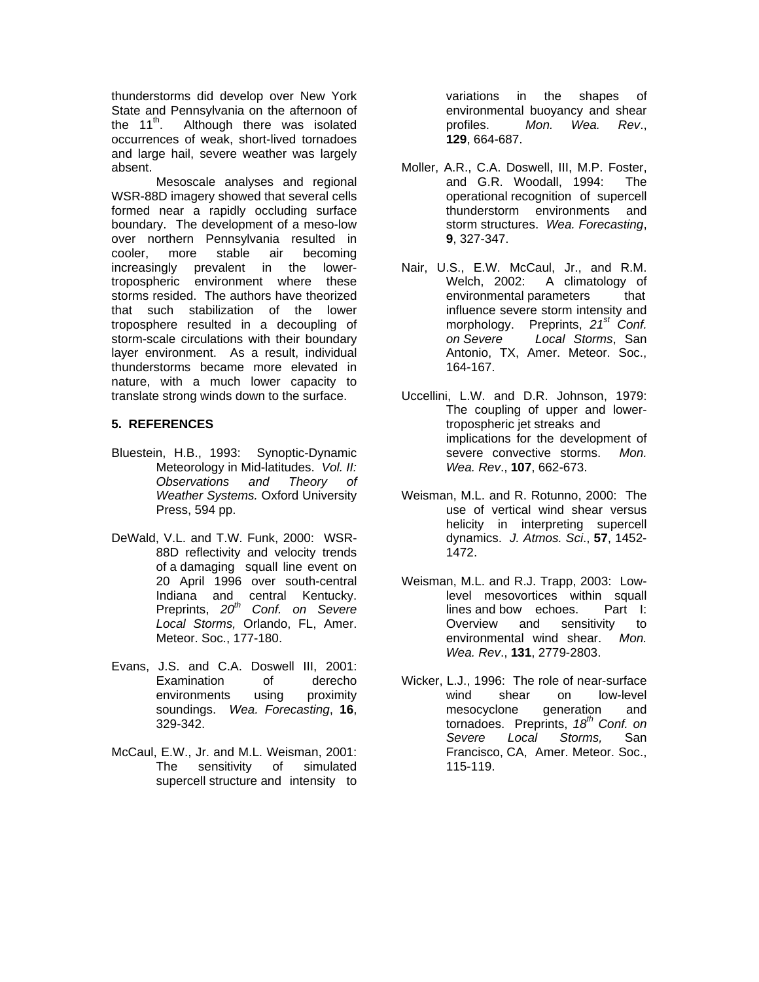thunderstorms did develop over New York State and Pennsylvania on the afternoon of<br>the 11<sup>th</sup>. Although there was isolated Although there was isolated occurrences of weak, short-lived tornadoes and large hail, severe weather was largely absent.

 Mesoscale analyses and regional WSR-88D imagery showed that several cells formed near a rapidly occluding surface boundary. The development of a meso-low over northern Pennsylvania resulted in cooler, more stable air becoming increasingly prevalent in the lowertropospheric environment where these storms resided. The authors have theorized that such stabilization of the lower troposphere resulted in a decoupling of storm-scale circulations with their boundary layer environment. As a result, individual thunderstorms became more elevated in nature, with a much lower capacity to translate strong winds down to the surface. Uccellini, L.W. and D.R. Johnson, 1979:

### **5. REFERENCES**

- Bluestein, H.B., 1993: Synoptic-Dynamic Meteorology in Mid-latitudes. *Vol. II: Observations and Theory of Weather Systems.* Oxford University Press, 594 pp.
- DeWald, V.L. and T.W. Funk, 2000: WSR- 88D reflectivity and velocity trends of a damaging squall line event on 20 April 1996 over south-central Indiana and central Kentucky. Preprints, *20th Conf. on Severe Local Storms,* Orlando, FL, Amer. Meteor. Soc., 177-180.
- Evans, J.S. and C.A. Doswell III, 2001: Examination of derecho environments using proximity soundings. *Wea. Forecasting*, **16**, 329-342.
- McCaul, E.W., Jr. and M.L. Weisman, 2001: The sensitivity of simulated supercell structure and intensity to

 variations in the shapes of environmental buoyancy and shear profiles. *Mon. Wea. Rev*., **129**, 664-687.

- Moller, A.R., C.A. Doswell, III, M.P. Foster, and G.R. Woodall, 1994: The operational recognition of supercell thunderstorm environments and storm structures. *Wea. Forecasting*, **9**, 327-347.
- Nair, U.S., E.W. McCaul, Jr., and R.M. Welch, 2002: A climatology of environmental parameters that influence severe storm intensity and morphology. Preprints, *21st Conf. on Severe Local Storms*, San Antonio, TX, Amer. Meteor. Soc., 164-167.
- The coupling of upper and lower tropospheric jet streaks and implications for the development of severe convective storms. *Mon. Wea. Rev*., **107**, 662-673.
- Weisman, M.L. and R. Rotunno, 2000: The use of vertical wind shear versus helicity in interpreting supercell dynamics. *J. Atmos. Sci*., **57**, 1452- 1472.
- Weisman, M.L. and R.J. Trapp, 2003: Low level mesovortices within squall lines and bow echoes. Part I: Overview and sensitivity to environmental wind shear. *Mon. Wea. Rev*., **131**, 2779-2803.
- Wicker, L.J., 1996: The role of near-surface wind shear on low-level mesocyclone generation and tornadoes. Preprints, 18<sup>th</sup> Conf. on  *Severe Local Storms,* San Francisco, CA, Amer. Meteor. Soc., 115-119.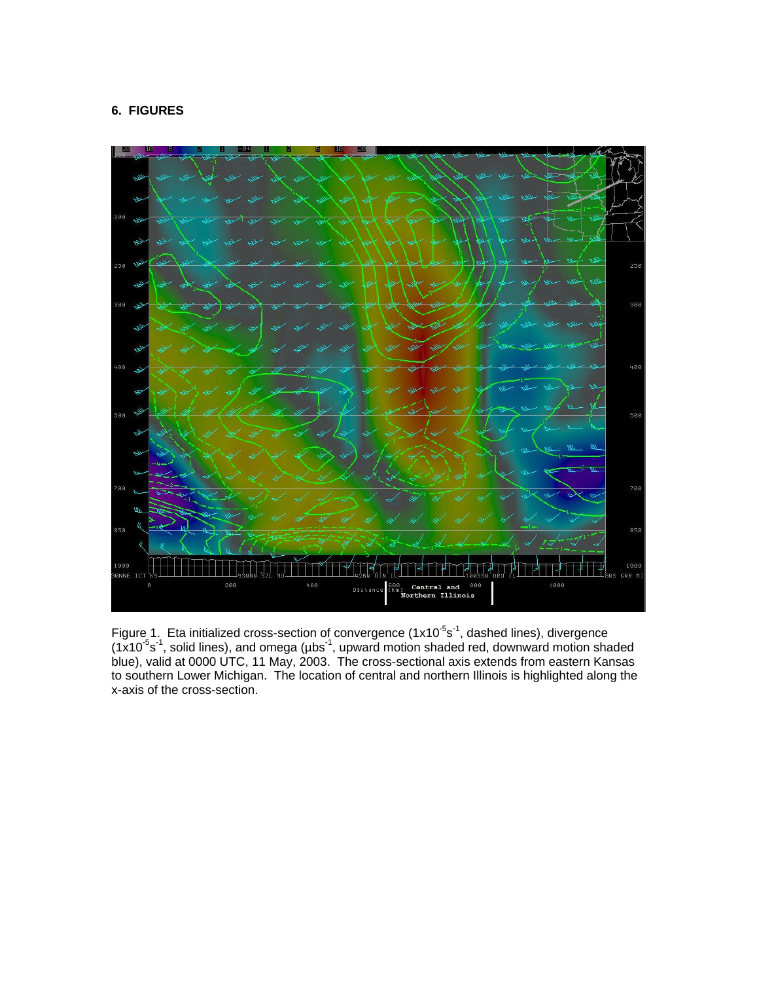# **6. FIGURES**



Figure 1. Eta initialized cross-section of convergence (1x10<sup>-5</sup>s<sup>-1</sup>, dashed lines), divergence  $(1x10<sup>-5</sup>s<sup>-1</sup>)$ , solid lines), and omega ( $\mu$ bs<sup>-1</sup>, upward motion shaded red, downward motion shaded blue), valid at 0000 UTC, 11 May, 2003. The cross-sectional axis extends from eastern Kansas to southern Lower Michigan. The location of central and northern Illinois is highlighted along the x-axis of the cross-section.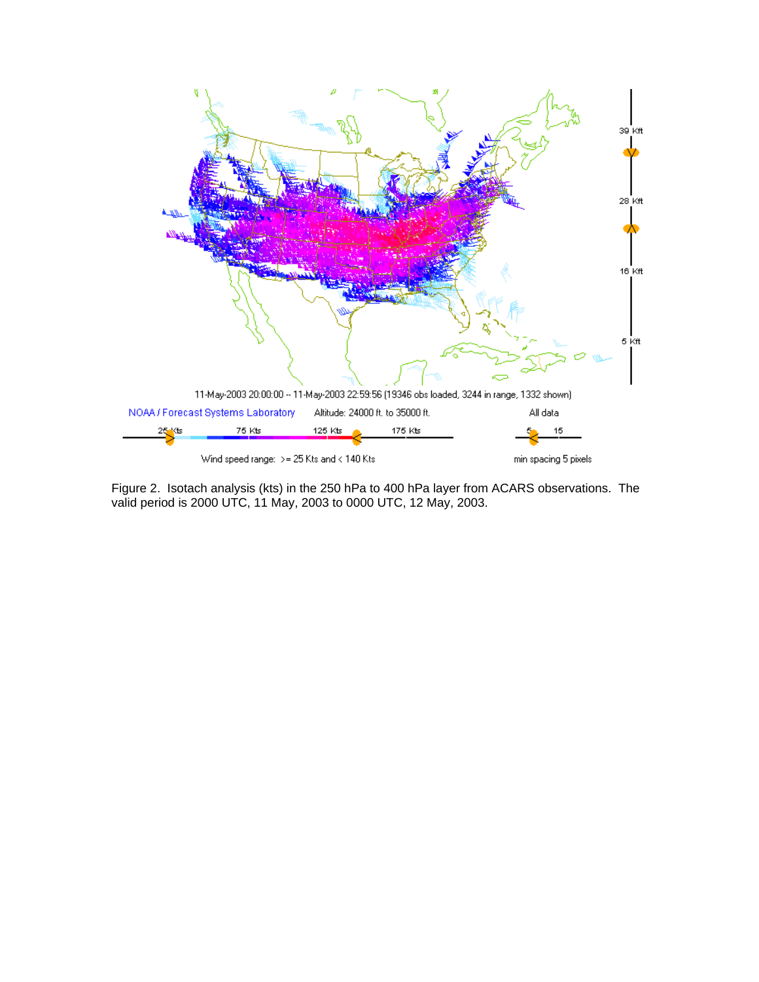

Figure 2. Isotach analysis (kts) in the 250 hPa to 400 hPa layer from ACARS observations. The valid period is 2000 UTC, 11 May, 2003 to 0000 UTC, 12 May, 2003.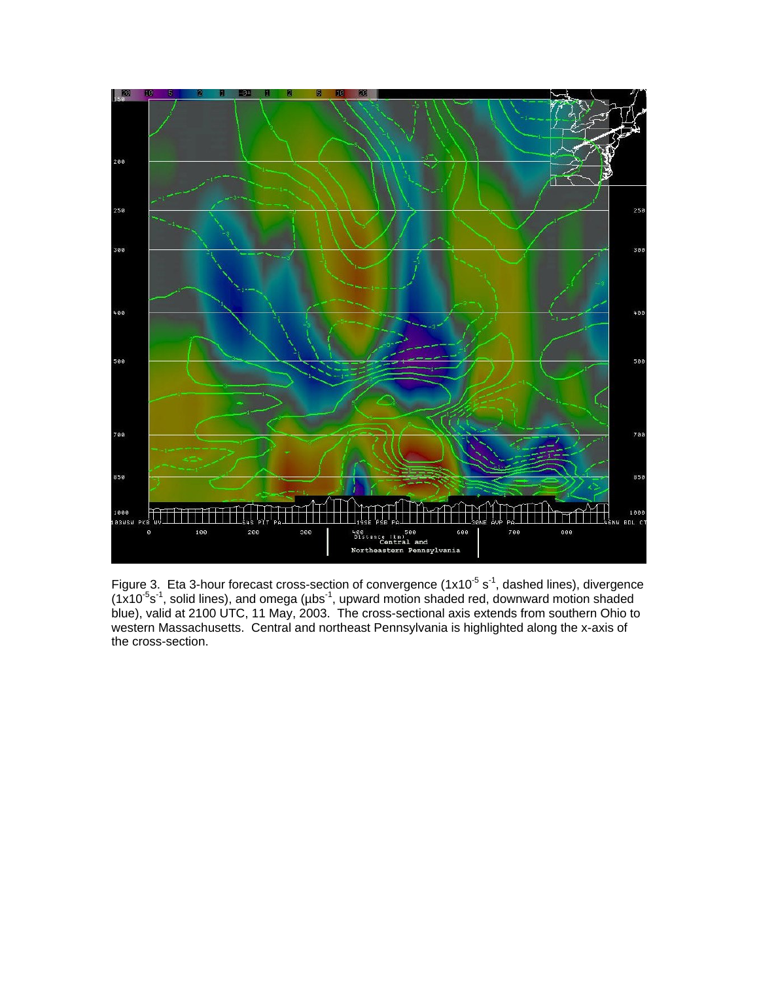

Figure 3. Eta 3-hour forecast cross-section of convergence ( $1x10^{-5}$  s<sup>-1</sup>, dashed lines), divergence  $(1x10<sup>-5</sup>s<sup>-1</sup>)$ , solid lines), and omega ( $\mu$ bs<sup>-1</sup>, upward motion shaded red, downward motion shaded blue), valid at 2100 UTC, 11 May, 2003. The cross-sectional axis extends from southern Ohio to western Massachusetts. Central and northeast Pennsylvania is highlighted along the x-axis of the cross-section.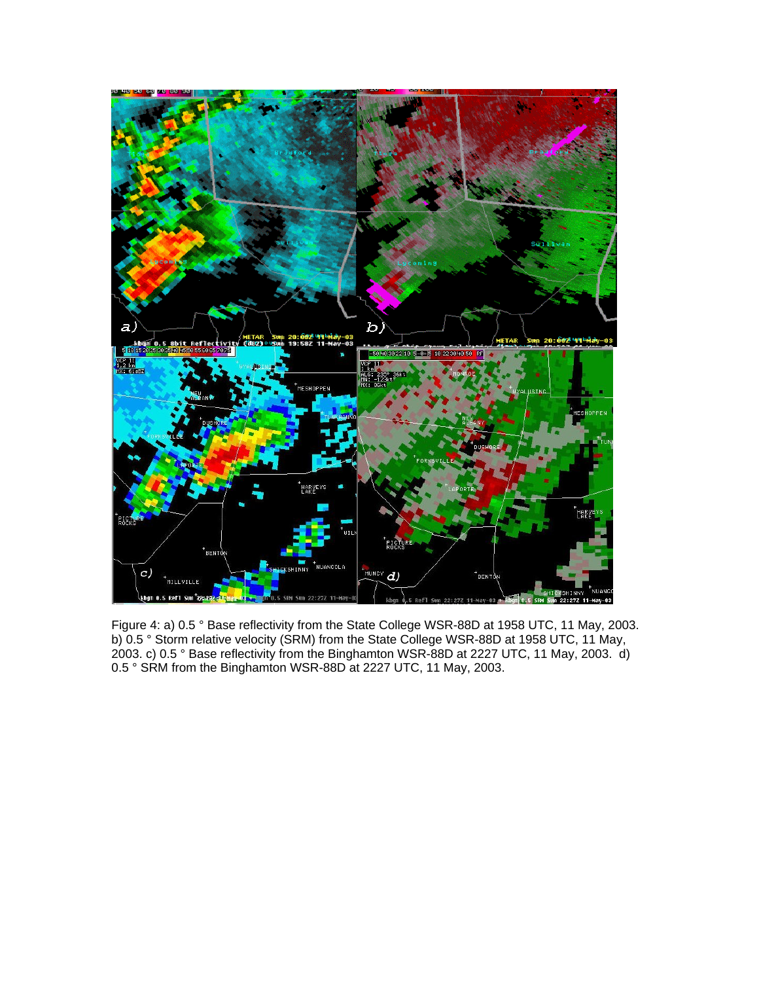

Figure 4: a) 0.5 ° Base reflectivity from the State College WSR-88D at 1958 UTC, 11 May, 2003. b) 0.5 ° Storm relative velocity (SRM) from the State College WSR-88D at 1958 UTC, 11 May, 2003. c) 0.5 ° Base reflectivity from the Binghamton WSR-88D at 2227 UTC, 11 May, 2003. d) 0.5 ° SRM from the Binghamton WSR-88D at 2227 UTC, 11 May, 2003.